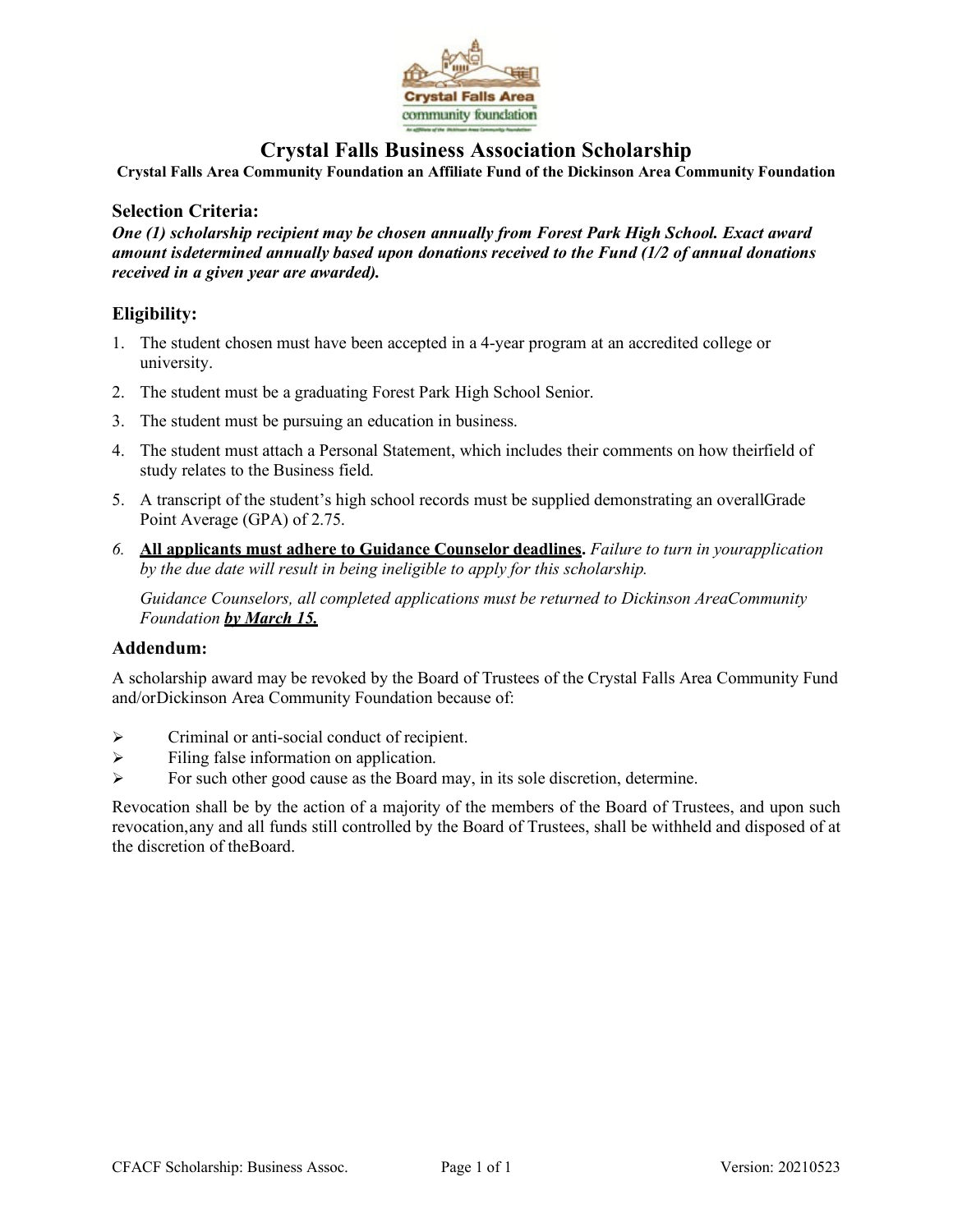

## **Crystal Falls Business Association Scholarship**

**Crystal Falls Area Community Foundation an Affiliate Fund of the Dickinson Area Community Foundation**

## **Selection Criteria:**

*One (1) scholarship recipient may be chosen annually from Forest Park High School. Exact award amount isdetermined annually based upon donations received to the Fund (1/2 of annual donations received in a given year are awarded).*

## **Eligibility:**

- 1. The student chosen must have been accepted in a 4-year program at an accredited college or university.
- 2. The student must be a graduating Forest Park High School Senior.
- 3. The student must be pursuing an education in business.
- 4. The student must attach a Personal Statement, which includes their comments on how theirfield of study relates to the Business field.
- 5. A transcript of the student's high school records must be supplied demonstrating an overallGrade Point Average (GPA) of 2.75.
- *6.* **All applicants must adhere to Guidance Counselor deadlines.** *Failure to turn in yourapplication by the due date will result in being ineligible to apply for this scholarship.*

*Guidance Counselors, all completed applications must be returned to Dickinson AreaCommunity Foundation by March 15.*

## **Addendum:**

A scholarship award may be revoked by the Board of Trustees of the Crystal Falls Area Community Fund and/orDickinson Area Community Foundation because of:

- $\triangleright$  Criminal or anti-social conduct of recipient.
- $\triangleright$  Filing false information on application.
- For such other good cause as the Board may, in its sole discretion, determine.

Revocation shall be by the action of a majority of the members of the Board of Trustees, and upon such revocation,any and all funds still controlled by the Board of Trustees, shall be withheld and disposed of at the discretion of theBoard.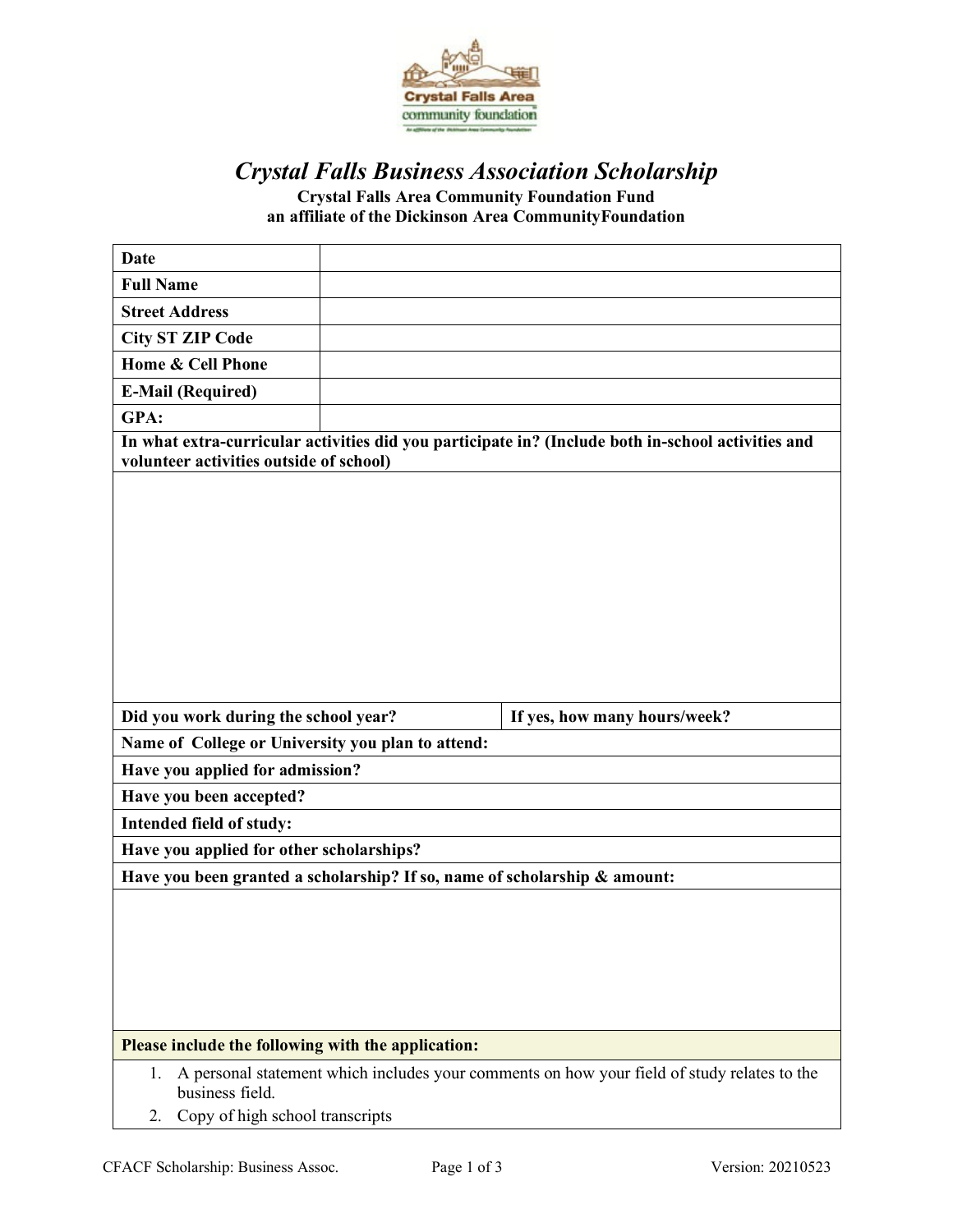

# *Crystal Falls Business Association Scholarship*

**Crystal Falls Area Community Foundation Fund an affiliate of the Dickinson Area CommunityFoundation**

| <b>Date</b>                                                               |  |                                                                                                    |  |  |
|---------------------------------------------------------------------------|--|----------------------------------------------------------------------------------------------------|--|--|
| <b>Full Name</b>                                                          |  |                                                                                                    |  |  |
| <b>Street Address</b>                                                     |  |                                                                                                    |  |  |
| <b>City ST ZIP Code</b>                                                   |  |                                                                                                    |  |  |
| <b>Home &amp; Cell Phone</b>                                              |  |                                                                                                    |  |  |
| <b>E-Mail (Required)</b>                                                  |  |                                                                                                    |  |  |
| GPA:                                                                      |  |                                                                                                    |  |  |
| volunteer activities outside of school)                                   |  | In what extra-curricular activities did you participate in? (Include both in-school activities and |  |  |
|                                                                           |  |                                                                                                    |  |  |
| Did you work during the school year?                                      |  | If yes, how many hours/week?                                                                       |  |  |
| Name of College or University you plan to attend:                         |  |                                                                                                    |  |  |
| Have you applied for admission?                                           |  |                                                                                                    |  |  |
| Have you been accepted?                                                   |  |                                                                                                    |  |  |
| Intended field of study:                                                  |  |                                                                                                    |  |  |
| Have you applied for other scholarships?                                  |  |                                                                                                    |  |  |
| Have you been granted a scholarship? If so, name of scholarship & amount: |  |                                                                                                    |  |  |
|                                                                           |  |                                                                                                    |  |  |
| Please include the following with the application:                        |  |                                                                                                    |  |  |
| 1.<br>business field.                                                     |  | A personal statement which includes your comments on how your field of study relates to the        |  |  |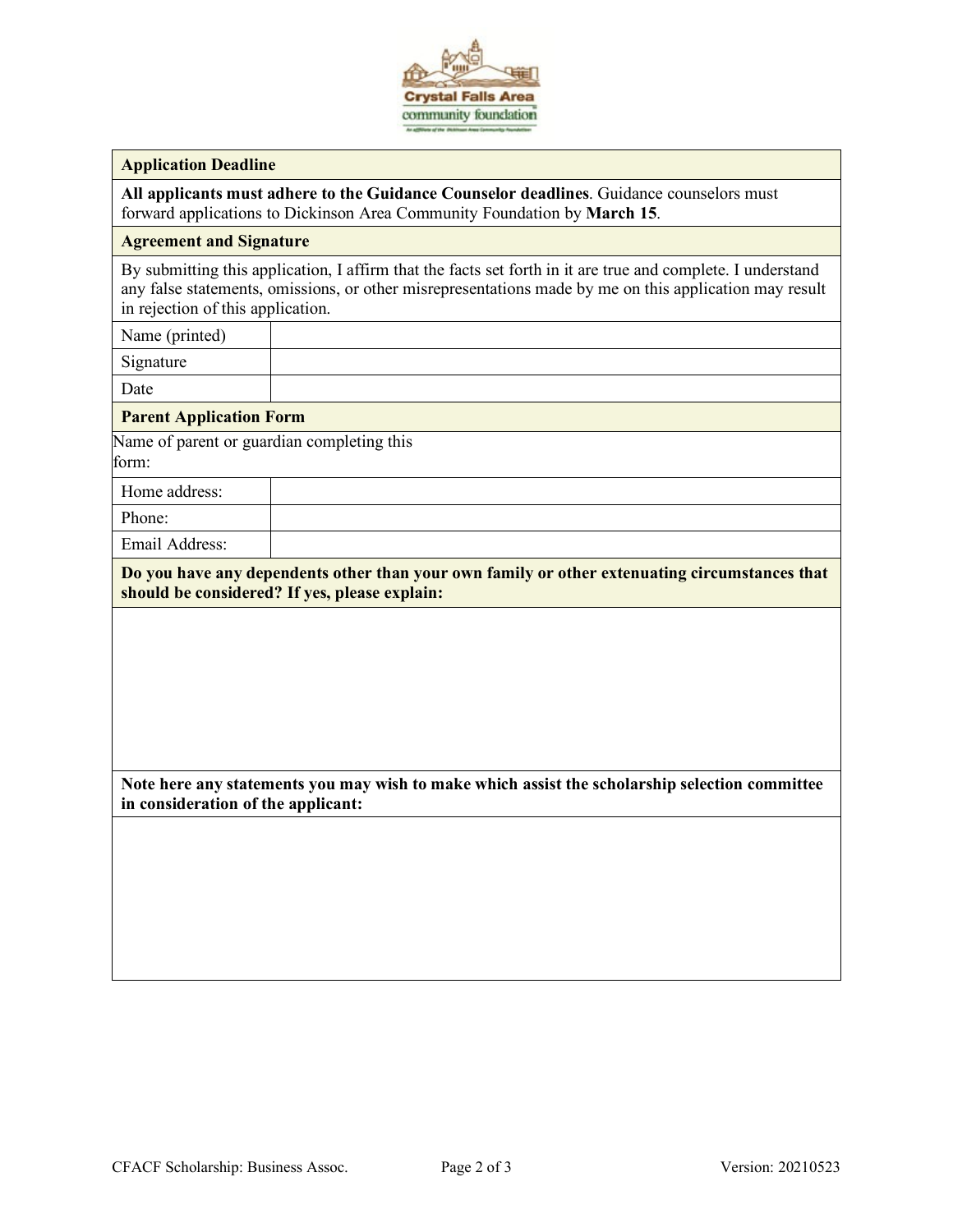

#### **Application Deadline**

**All applicants must adhere to the Guidance Counselor deadlines**. Guidance counselors must forward applications to Dickinson Area Community Foundation by **March 15**.

### **Agreement and Signature**

By submitting this application, I affirm that the facts set forth in it are true and complete. I understand any false statements, omissions, or other misrepresentations made by me on this application may result in rejection of this application.

| Name (printed)                                      |  |
|-----------------------------------------------------|--|
| Signature                                           |  |
| Date                                                |  |
| <b>Parent Application Form</b>                      |  |
| Name of parent or guardian completing this<br>form: |  |
| Home address:                                       |  |
| Phone:                                              |  |

Email Address:

**Do you have any dependents other than your own family or other extenuating circumstances that should be considered? If yes, please explain:**

**Note here any statements you may wish to make which assist the scholarship selection committee in consideration of the applicant:**